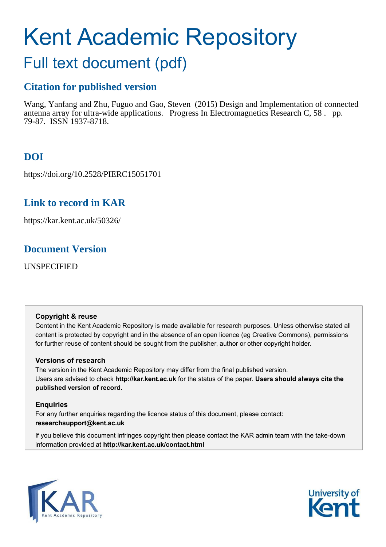# Kent Academic Repository

## Full text document (pdf)

## **Citation for published version**

Wang, Yanfang and Zhu, Fuguo and Gao, Steven (2015) Design and Implementation of connected antenna array for ultra-wide applications. Progress In Electromagnetics Research C, 58 . pp. 79-87. ISSN 1937-8718.

## **DOI**

https://doi.org/10.2528/PIERC15051701

## **Link to record in KAR**

https://kar.kent.ac.uk/50326/

## **Document Version**

UNSPECIFIED

#### **Copyright & reuse**

Content in the Kent Academic Repository is made available for research purposes. Unless otherwise stated all content is protected by copyright and in the absence of an open licence (eg Creative Commons), permissions for further reuse of content should be sought from the publisher, author or other copyright holder.

#### **Versions of research**

The version in the Kent Academic Repository may differ from the final published version. Users are advised to check **http://kar.kent.ac.uk** for the status of the paper. **Users should always cite the published version of record.**

#### **Enquiries**

For any further enquiries regarding the licence status of this document, please contact: **researchsupport@kent.ac.uk**

If you believe this document infringes copyright then please contact the KAR admin team with the take-down information provided at **http://kar.kent.ac.uk/contact.html**



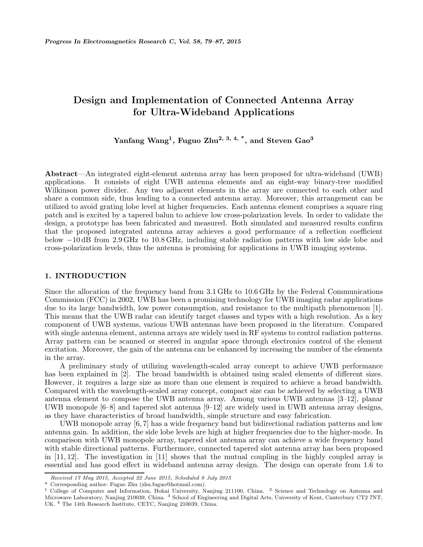### Design and Implementation of Connected Antenna Array for Ultra-Wideband Applications

#### Yanfang Wang<sup>1</sup>, Fuguo Zhu<sup>2, 3, 4,  $^*$ , and Steven Gao $^3$ </sup>

Abstract—An integrated eight-element antenna array has been proposed for ultra-wideband (UWB) applications. It consists of eight UWB antenna elements and an eight-way binary-tree modified Wilkinson power divider. Any two adjacent elements in the array are connected to each other and share a common side, thus leading to a connected antenna array. Moreover, this arrangement can be utilized to avoid grating lobe level at higher frequencies. Each antenna element comprises a square ring patch and is excited by a tapered balun to achieve low cross-polarization levels. In order to validate the design, a prototype has been fabricated and measured. Both simulated and measured results confirm that the proposed integrated antenna array achieves a good performance of a reflection coefficient below −10 dB from 2.9 GHz to 10.8 GHz, including stable radiation patterns with low side lobe and cross-polarization levels, thus the antenna is promising for applications in UWB imaging systems.

#### 1. INTRODUCTION

Since the allocation of the frequency band from 3.1 GHz to 10.6 GHz by the Federal Communications Commission (FCC) in 2002, UWB has been a promising technology for UWB imaging radar applications due to its large bandwidth, low power consumption, and resistance to the multipath phenomenon [1]. This means that the UWB radar can identify target classes and types with a high resolution. As a key component of UWB systems, various UWB antennas have been proposed in the literature. Compared with single antenna element, antenna arrays are widely used in RF systems to control radiation patterns. Array pattern can be scanned or steered in angular space through electronics control of the element excitation. Moreover, the gain of the antenna can be enhanced by increasing the number of the elements in the array.

A preliminary study of utilizing wavelength-scaled array concept to achieve UWB performance has been explained in [2]. The broad bandwidth is obtained using scaled elements of different sizes. However, it requires a large size as more than one element is required to achieve a broad bandwidth. Compared with the wavelength-scaled array concept, compact size can be achieved by selecting a UWB antenna element to compose the UWB antenna array. Among various UWB antennas [3–12], planar UWB monopole [6–8] and tapered slot antenna [9–12] are widely used in UWB antenna array designs, as they have characteristics of broad bandwidth, simple structure and easy fabrication.

UWB monopole array [6, 7] has a wide frequency band but bidirectional radiation patterns and low antenna gain. In addition, the side lobe levels are high at higher frequencies due to the higher-mode. In comparison with UWB monopole array, tapered slot antenna array can achieve a wide frequency band with stable directional patterns. Furthermore, connected tapered slot antenna array has been proposed in [11, 12]. The investigation in [11] shows that the mutual coupling in the highly coupled array is essential and has good effect in wideband antenna array design. The design can operate from 1.6 to

Received 17 May 2015, Accepted 22 June 2015, Scheduled 8 July 2015

<sup>\*</sup> Corresponding author: Fuguo Zhu (zhu.fuguo@hotmail.com).

<sup>&</sup>lt;sup>1</sup> College of Computer and Information, Hohai University, Nanjing 211100, China. <sup>2</sup> Science and Technology on Antenna and Microwave Laboratory, Nanjing 210039, China. <sup>3</sup> School of Engineering and Digital Arts, University of Kent, Canterbury CT2 7NT, UK. <sup>4</sup> The 14th Research Institute, CETC, Nanjing 210039, China.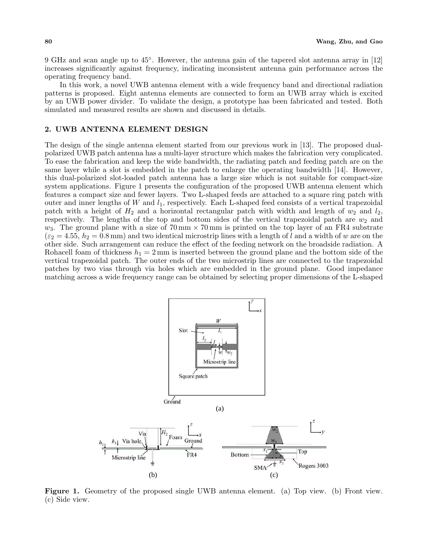9 GHz and scan angle up to  $45^{\circ}$ . However, the antenna gain of the tapered slot antenna array in [12] increases significantly against frequency, indicating inconsistent antenna gain performance across the operating frequency band.

In this work, a novel UWB antenna element with a wide frequency band and directional radiation patterns is proposed. Eight antenna elements are connected to form an UWB array which is excited by an UWB power divider. To validate the design, a prototype has been fabricated and tested. Both simulated and measured results are shown and discussed in details.

#### 2. UWB ANTENNA ELEMENT DESIGN

The design of the single antenna element started from our previous work in [13]. The proposed dualpolarized UWB patch antenna has a multi-layer structure which makes the fabrication very complicated. To ease the fabrication and keep the wide bandwidth, the radiating patch and feeding patch are on the same layer while a slot is embedded in the patch to enlarge the operating bandwidth [14]. However, this dual-polarized slot-loaded patch antenna has a large size which is not suitable for compact-size system applications. Figure 1 presents the configuration of the proposed UWB antenna element which features a compact size and fewer layers. Two L-shaped feeds are attached to a square ring patch with outer and inner lengths of W and  $l_1$ , respectively. Each L-shaped feed consists of a vertical trapezoidal patch with a height of  $H_2$  and a horizontal rectangular patch with width and length of  $w_2$  and  $l_2$ , respectively. The lengths of the top and bottom sides of the vertical trapezoidal patch are  $w_2$  and  $w_3$ . The ground plane with a size of 70 mm  $\times$  70 mm is printed on the top layer of an FR4 substrate  $(\epsilon_2 = 4.55, h_2 = 0.8 \,\text{mm})$  and two identical microstrip lines with a length of l and a width of w are on the other side. Such arrangement can reduce the effect of the feeding network on the broadside radiation. A Rohacell foam of thickness  $h_1 = 2$  mm is inserted between the ground plane and the bottom side of the vertical trapezoidal patch. The outer ends of the two microstrip lines are connected to the trapezoidal patches by two vias through via holes which are embedded in the ground plane. Good impedance matching across a wide frequency range can be obtained by selecting proper dimensions of the L-shaped



Figure 1. Geometry of the proposed single UWB antenna element. (a) Top view. (b) Front view. (c) Side view.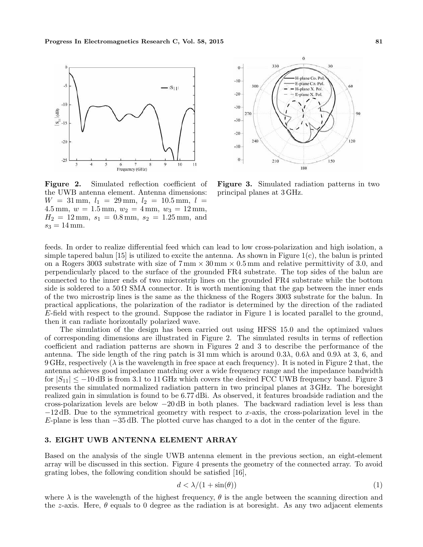Progress In Electromagnetics Research C, Vol. 58, 2015 81



Figure 2. Simulated reflection coefficient of the UWB antenna element. Antenna dimensions:  $W = 31$  mm,  $l_1 = 29$  mm,  $l_2 = 10.5$  mm,  $l =$ 4.5 mm,  $w = 1.5$  mm,  $w_2 = 4$  mm,  $w_3 = 12$  mm,  $H_2 = 12 \,\mathrm{mm}, s_1 = 0.8 \,\mathrm{mm}, s_2 = 1.25 \,\mathrm{mm}, \text{and}$  $s_3 = 14 \,\rm{mm}$ .



Figure 3. Simulated radiation patterns in two principal planes at 3 GHz.

feeds. In order to realize differential feed which can lead to low cross-polarization and high isolation, a simple tapered balun [15] is utilized to excite the antenna. As shown in Figure 1(c), the balun is printed on a Rogers 3003 substrate with size of  $7 \text{ mm} \times 30 \text{ mm} \times 0.5 \text{ mm}$  and relative permittivity of 3.0, and perpendicularly placed to the surface of the grounded FR4 substrate. The top sides of the balun are connected to the inner ends of two microstrip lines on the grounded FR4 substrate while the bottom side is soldered to a  $50 \Omega$  SMA connector. It is worth mentioning that the gap between the inner ends of the two microstrip lines is the same as the thickness of the Rogers 3003 substrate for the balun. In practical applications, the polarization of the radiator is determined by the direction of the radiated  $E$ -field with respect to the ground. Suppose the radiator in Figure 1 is located parallel to the ground, then it can radiate horizontally polarized wave.

The simulation of the design has been carried out using HFSS 15.0 and the optimized values of corresponding dimensions are illustrated in Figure 2. The simulated results in terms of reflection coefficient and radiation patterns are shown in Figures 2 and 3 to describe the performance of the antenna. The side length of the ring patch is 31 mm which is around  $0.3\lambda$ ,  $0.6\lambda$  and  $0.9\lambda$  at 3, 6, and 9 GHz, respectively ( $\lambda$  is the wavelength in free space at each frequency). It is noted in Figure 2 that, the antenna achieves good impedance matching over a wide frequency range and the impedance bandwidth for  $|S_{11}| \leq -10$  dB is from 3.1 to 11 GHz which covers the desired FCC UWB frequency band. Figure 3 presents the simulated normalized radiation pattern in two principal planes at 3 GHz. The boresight realized gain in simulation is found to be 6.77 dBi. As observed, it features broadside radiation and the cross-polarization levels are below −20 dB in both planes. The backward radiation level is less than −12 dB. Due to the symmetrical geometry with respect to x-axis, the cross-polarization level in the E-plane is less than  $-35$  dB. The plotted curve has changed to a dot in the center of the figure.

#### 3. EIGHT UWB ANTENNA ELEMENT ARRAY

Based on the analysis of the single UWB antenna element in the previous section, an eight-element array will be discussed in this section. Figure 4 presents the geometry of the connected array. To avoid grating lobes, the following condition should be satisfied [16],

$$
d < \lambda / (1 + \sin(\theta)) \tag{1}
$$

where  $\lambda$  is the wavelength of the highest frequency,  $\theta$  is the angle between the scanning direction and the z-axis. Here,  $\theta$  equals to 0 degree as the radiation is at boresight. As any two adjacent elements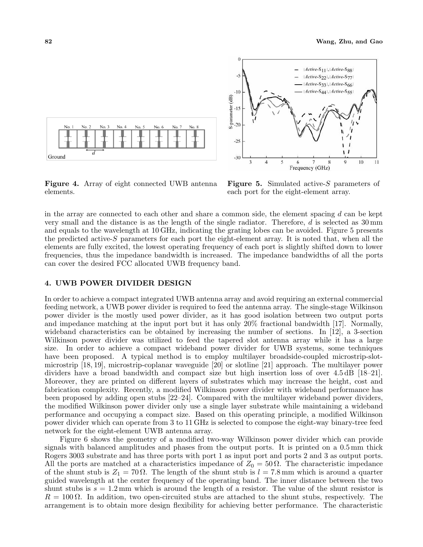



Figure 4. Array of eight connected UWB antenna elements.

Figure 5. Simulated active-S parameters of each port for the eight-element array.

in the array are connected to each other and share a common side, the element spacing  $d$  can be kept very small and the distance is as the length of the single radiator. Therefore, d is selected as 30 mm and equals to the wavelength at 10 GHz, indicating the grating lobes can be avoided. Figure 5 presents the predicted active-S parameters for each port the eight-element array. It is noted that, when all the elements are fully excited, the lowest operating frequency of each port is slightly shifted down to lower frequencies, thus the impedance bandwidth is increased. The impedance bandwidths of all the ports can cover the desired FCC allocated UWB frequency band.

#### 4. UWB POWER DIVIDER DESIGN

In order to achieve a compact integrated UWB antenna array and avoid requiring an external commercial feeding network, a UWB power divider is required to feed the antenna array. The single-stage Wilkinson power divider is the mostly used power divider, as it has good isolation between two output ports and impedance matching at the input port but it has only 20% fractional bandwidth [17]. Normally, wideband characteristics can be obtained by increasing the number of sections. In [12], a 3-section Wilkinson power divider was utilized to feed the tapered slot antenna array while it has a large size. In order to achieve a compact wideband power divider for UWB systems, some techniques have been proposed. A typical method is to employ multilayer broadside-coupled microstrip-slotmicrostrip [18, 19], microstrip-coplanar waveguide [20] or slotline [21] approach. The multilayer power dividers have a broad bandwidth and compact size but high insertion loss of over 4.5 dB [18–21]. Moreover, they are printed on different layers of substrates which may increase the height, cost and fabrication complexity. Recently, a modified Wilkinson power divider with wideband performance has been proposed by adding open stubs [22–24]. Compared with the multilayer wideband power dividers, the modified Wilkinson power divider only use a single layer substrate while maintaining a wideband performance and occupying a compact size. Based on this operating principle, a modified Wilkinson power divider which can operate from 3 to 11 GHz is selected to compose the eight-way binary-tree feed network for the eight-element UWB antenna array.

Figure 6 shows the geometry of a modified two-way Wilkinson power divider which can provide signals with balanced amplitudes and phases from the output ports. It is printed on a 0.5 mm thick Rogers 3003 substrate and has three ports with port 1 as input port and ports 2 and 3 as output ports. All the ports are matched at a characteristics impedance of  $Z_0 = 50 \Omega$ . The characteristic impedance of the shunt stub is  $Z_1 = 70 \Omega$ . The length of the shunt stub is  $l = 7.8$  mm which is around a quarter guided wavelength at the center frequency of the operating band. The inner distance between the two shunt stubs is  $s = 1.2$  mm which is around the length of a resistor. The value of the shunt resistor is  $R = 100 \Omega$ . In addition, two open-circuited stubs are attached to the shunt stubs, respectively. The arrangement is to obtain more design flexibility for achieving better performance. The characteristic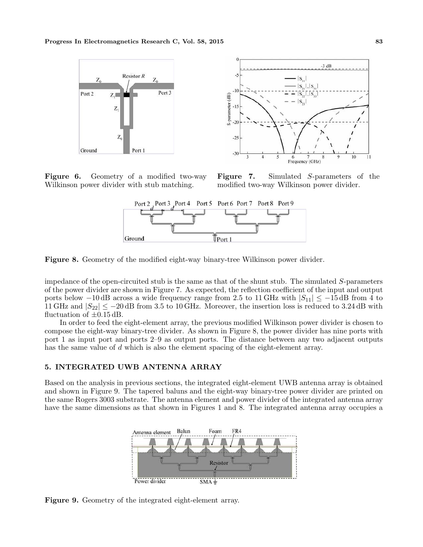

Figure 6. Geometry of a modified two-way Wilkinson power divider with stub matching.

Figure 7. Simulated S-parameters of the modified two-way Wilkinson power divider.



Figure 8. Geometry of the modified eight-way binary-tree Wilkinson power divider.

impedance of the open-circuited stub is the same as that of the shunt stub. The simulated S-parameters of the power divider are shown in Figure 7. As expected, the reflection coefficient of the input and output ports below  $-10$  dB across a wide frequency range from 2.5 to 11 GHz with  $|S_{11}| \leq -15$  dB from 4 to 11 GHz and  $|S_{22}| \leq -20$  dB from 3.5 to 10 GHz. Moreover, the insertion loss is reduced to 3.24 dB with fluctuation of  $\pm 0.15$  dB.

In order to feed the eight-element array, the previous modified Wilkinson power divider is chosen to compose the eight-way binary-tree divider. As shown in Figure 8, the power divider has nine ports with port 1 as input port and ports 2–9 as output ports. The distance between any two adjacent outputs has the same value of d which is also the element spacing of the eight-element array.

#### 5. INTEGRATED UWB ANTENNA ARRAY

Based on the analysis in previous sections, the integrated eight-element UWB antenna array is obtained and shown in Figure 9. The tapered baluns and the eight-way binary-tree power divider are printed on the same Rogers 3003 substrate. The antenna element and power divider of the integrated antenna array have the same dimensions as that shown in Figures 1 and 8. The integrated antenna array occupies a



Figure 9. Geometry of the integrated eight-element array.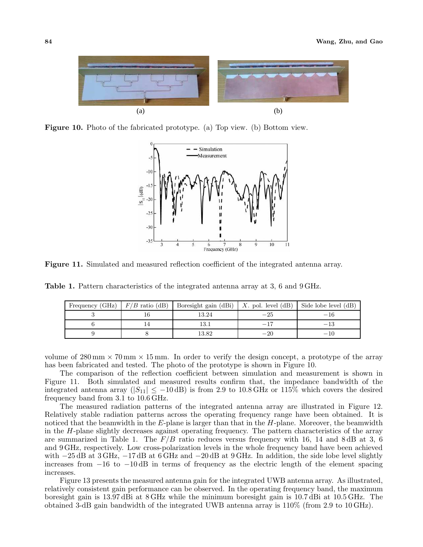

Figure 10. Photo of the fabricated prototype. (a) Top view. (b) Bottom view.



Figure 11. Simulated and measured reflection coefficient of the integrated antenna array.

Table 1. Pattern characteristics of the integrated antenna array at 3, 6 and 9 GHz.

|  | Frequency (GHz) $\mid$ F/B ratio (dB) $\mid$ Boresight gain (dBi) $\mid$ X. pol. level (dB) $\mid$ |       | Side lobe level $(dB)$ |
|--|----------------------------------------------------------------------------------------------------|-------|------------------------|
|  | 13.24                                                                                              | $-25$ | —16                    |
|  |                                                                                                    | $-17$ | $-13$                  |
|  | 13.82                                                                                              | $-20$ | $-10$                  |

volume of  $280 \text{ mm} \times 70 \text{ mm} \times 15 \text{ mm}$ . In order to verify the design concept, a prototype of the array has been fabricated and tested. The photo of the prototype is shown in Figure 10.

The comparison of the reflection coefficient between simulation and measurement is shown in Figure 11. Both simulated and measured results confirm that, the impedance bandwidth of the integrated antenna array ( $|S_{11}| \leq -10 \text{ dB}$ ) is from 2.9 to 10.8 GHz or 115% which covers the desired frequency band from 3.1 to 10.6 GHz.

The measured radiation patterns of the integrated antenna array are illustrated in Figure 12. Relatively stable radiation patterns across the operating frequency range have been obtained. It is noticed that the beamwidth in the  $E$ -plane is larger than that in the  $H$ -plane. Moreover, the beamwidth in the H-plane slightly decreases against operating frequency. The pattern characteristics of the array are summarized in Table 1. The  $F/B$  ratio reduces versus frequency with 16, 14 and 8 dB at 3, 6 and 9 GHz, respectively. Low cross-polarization levels in the whole frequency band have been achieved with −25 dB at 3 GHz, −17 dB at 6 GHz and −20 dB at 9 GHz. In addition, the side lobe level slightly increases from −16 to −10 dB in terms of frequency as the electric length of the element spacing increases.

Figure 13 presents the measured antenna gain for the integrated UWB antenna array. As illustrated, relatively consistent gain performance can be observed. In the operating frequency band, the maximum boresight gain is 13.97 dBi at 8 GHz while the minimum boresight gain is 10.7 dBi at 10.5 GHz. The obtained 3-dB gain bandwidth of the integrated UWB antenna array is 110% (from 2.9 to 10 GHz).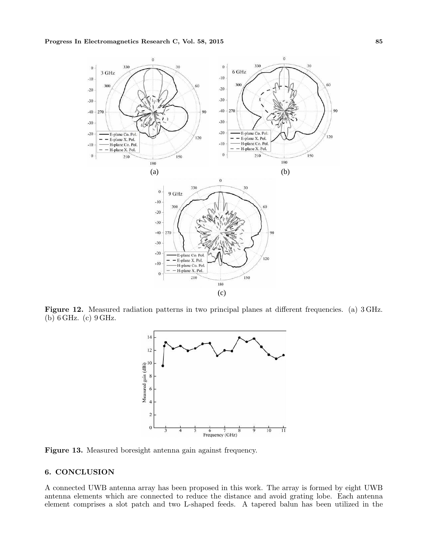

Figure 12. Measured radiation patterns in two principal planes at different frequencies. (a) 3 GHz. (b) 6 GHz. (c) 9 GHz.



Figure 13. Measured boresight antenna gain against frequency.

#### 6. CONCLUSION

A connected UWB antenna array has been proposed in this work. The array is formed by eight UWB antenna elements which are connected to reduce the distance and avoid grating lobe. Each antenna element comprises a slot patch and two L-shaped feeds. A tapered balun has been utilized in the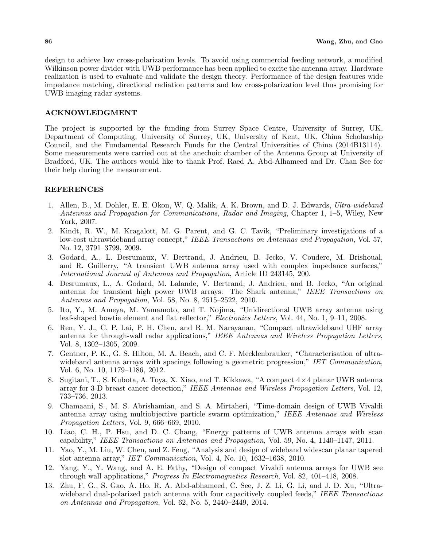design to achieve low cross-polarization levels. To avoid using commercial feeding network, a modified Wilkinson power divider with UWB performance has been applied to excite the antenna array. Hardware realization is used to evaluate and validate the design theory. Performance of the design features wide impedance matching, directional radiation patterns and low cross-polarization level thus promising for UWB imaging radar systems.

#### ACKNOWLEDGMENT

The project is supported by the funding from Surrey Space Centre, University of Surrey, UK, Department of Computing, University of Surrey, UK, University of Kent, UK, China Scholarship Council, and the Fundamental Research Funds for the Central Universities of China (2014B13114). Some measurements were carried out at the anechoic chamber of the Antenna Group at University of Bradford, UK. The authors would like to thank Prof. Raed A. Abd-Alhameed and Dr. Chan See for their help during the measurement.

#### REFERENCES

- 1. Allen, B., M. Dohler, E. E. Okon, W. Q. Malik, A. K. Brown, and D. J. Edwards, Ultra-wideband Antennas and Propagation for Communications, Radar and Imaging, Chapter 1, 1–5, Wiley, New York, 2007.
- 2. Kindt, R. W., M. Kragalott, M. G. Parent, and G. C. Tavik, "Preliminary investigations of a low-cost ultrawideband array concept," IEEE Transactions on Antennas and Propagation, Vol. 57, No. 12, 3791–3799, 2009.
- 3. Godard, A., L. Desrumaux, V. Bertrand, J. Andrieu, B. Jecko, V. Couderc, M. Brishoual, and R. Guillerry, "A transient UWB antenna array used with complex impedance surfaces," International Journal of Antennas and Propagation, Article ID 243145, 200.
- 4. Desrumaux, L., A. Godard, M. Lalande, V. Bertrand, J. Andrieu, and B. Jecko, "An original antenna for transient high power UWB arrays: The Shark antenna," IEEE Transactions on Antennas and Propagation, Vol. 58, No. 8, 2515–2522, 2010.
- 5. Ito, Y., M. Ameya, M. Yamamoto, and T. Nojima, "Unidirectional UWB array antenna using leaf-shaped bowtie element and flat reflector," Electronics Letters, Vol. 44, No. 1, 9–11, 2008.
- 6. Ren, Y. J., C. P. Lai, P. H. Chen, and R. M. Narayanan, "Compact ultrawideband UHF array antenna for through-wall radar applications," IEEE Antennas and Wireless Propagation Letters, Vol. 8, 1302–1305, 2009.
- 7. Gentner, P. K., G. S. Hilton, M. A. Beach, and C. F. Mecklenbrauker, "Characterisation of ultrawideband antenna arrays with spacings following a geometric progression," IET Communication, Vol. 6, No. 10, 1179–1186, 2012.
- 8. Sugitani, T., S. Kubota, A. Toya, X. Xiao, and T. Kikkawa, "A compact 4×4 planar UWB antenna array for 3-D breast cancer detection," IEEE Antennas and Wireless Propagation Letters, Vol. 12, 733–736, 2013.
- 9. Chamaani, S., M. S. Abrishamian, and S. A. Mirtaheri, "Time-domain design of UWB Vivaldi antenna array using multiobjective particle swarm optimization," IEEE Antennas and Wireless Propagation Letters, Vol. 9, 666–669, 2010.
- 10. Liao, C. H., P. Hsu, and D. C. Chang, "Energy patterns of UWB antenna arrays with scan capability," IEEE Transactions on Antennas and Propagation, Vol. 59, No. 4, 1140–1147, 2011.
- 11. Yao, Y., M. Liu, W. Chen, and Z. Feng, "Analysis and design of wideband widescan planar tapered slot antenna array," IET Communication, Vol. 4, No. 10, 1632–1638, 2010.
- 12. Yang, Y., Y. Wang, and A. E. Fathy, "Design of compact Vivaldi antenna arrays for UWB see through wall applications," Progress In Electromagnetics Research, Vol. 82, 401–418, 2008.
- 13. Zhu, F. G., S. Gao, A. Ho, R. A. Abd-abhameed, C. See, J. Z. Li, G. Li, and J. D. Xu, "Ultrawideband dual-polarized patch antenna with four capacitively coupled feeds," IEEE Transactions on Antennas and Propagation, Vol. 62, No. 5, 2440–2449, 2014.